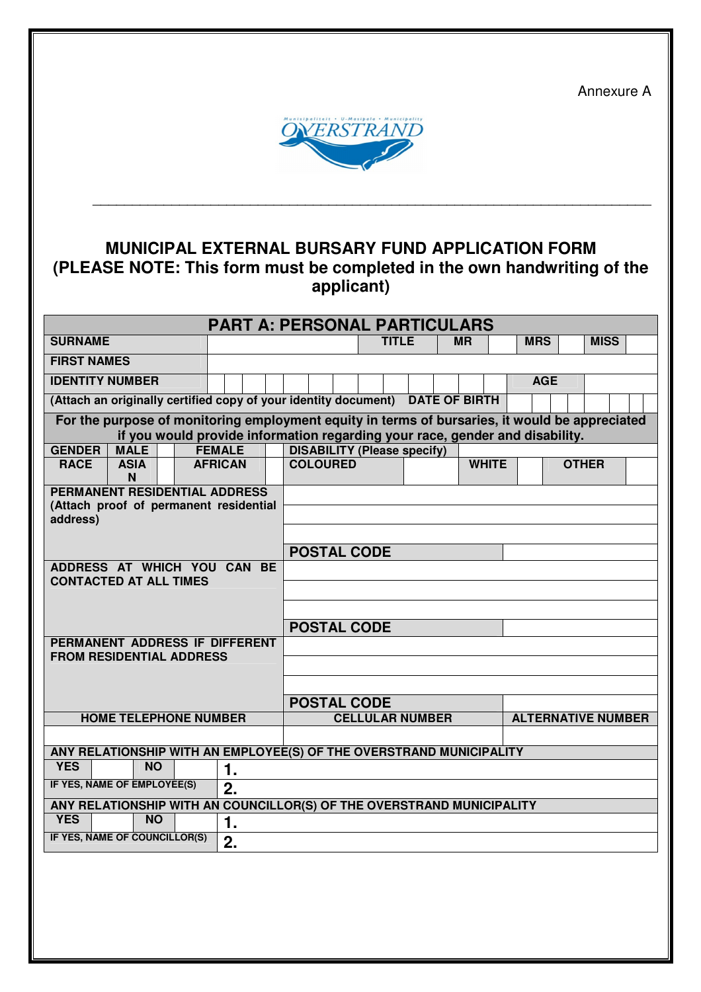Annexure A



 $\overline{\phantom{a}}$  , and the contribution of the contribution of the contribution of the contribution of the contribution of the contribution of the contribution of the contribution of the contribution of the contribution of the

## **MUNICIPAL EXTERNAL BURSARY FUND APPLICATION FORM (PLEASE NOTE: This form must be completed in the own handwriting of the applicant)**

| <b>PART A: PERSONAL PARTICULARS</b>                                                                                                                                            |                |                    |                                    |           |              |            |                           |  |
|--------------------------------------------------------------------------------------------------------------------------------------------------------------------------------|----------------|--------------------|------------------------------------|-----------|--------------|------------|---------------------------|--|
| <b>SURNAME</b>                                                                                                                                                                 |                |                    | <b>TITLE</b>                       | <b>MR</b> |              | <b>MRS</b> | <b>MISS</b>               |  |
| <b>FIRST NAMES</b>                                                                                                                                                             |                |                    |                                    |           |              |            |                           |  |
| <b>IDENTITY NUMBER</b>                                                                                                                                                         |                |                    |                                    |           |              | <b>AGE</b> |                           |  |
| (Attach an originally certified copy of your identity document) DATE OF BIRTH                                                                                                  |                |                    |                                    |           |              |            |                           |  |
| For the purpose of monitoring employment equity in terms of bursaries, it would be appreciated<br>if you would provide information regarding your race, gender and disability. |                |                    |                                    |           |              |            |                           |  |
| <b>MALE</b><br><b>GENDER</b>                                                                                                                                                   | <b>FEMALE</b>  |                    | <b>DISABILITY (Please specify)</b> |           |              |            |                           |  |
| <b>RACE</b><br><b>ASIA</b><br>N                                                                                                                                                | <b>AFRICAN</b> | <b>COLOURED</b>    |                                    |           | <b>WHITE</b> |            | <b>OTHER</b>              |  |
| <b>PERMANENT RESIDENTIAL ADDRESS</b>                                                                                                                                           |                |                    |                                    |           |              |            |                           |  |
| (Attach proof of permanent residential<br>address)                                                                                                                             |                |                    |                                    |           |              |            |                           |  |
|                                                                                                                                                                                |                |                    |                                    |           |              |            |                           |  |
|                                                                                                                                                                                |                | <b>POSTAL CODE</b> |                                    |           |              |            |                           |  |
| ADDRESS AT WHICH YOU CAN BE                                                                                                                                                    |                |                    |                                    |           |              |            |                           |  |
| <b>CONTACTED AT ALL TIMES</b>                                                                                                                                                  |                |                    |                                    |           |              |            |                           |  |
|                                                                                                                                                                                |                |                    |                                    |           |              |            |                           |  |
|                                                                                                                                                                                |                | <b>POSTAL CODE</b> |                                    |           |              |            |                           |  |
| PERMANENT ADDRESS IF DIFFERENT                                                                                                                                                 |                |                    |                                    |           |              |            |                           |  |
| <b>FROM RESIDENTIAL ADDRESS</b>                                                                                                                                                |                |                    |                                    |           |              |            |                           |  |
|                                                                                                                                                                                |                |                    |                                    |           |              |            |                           |  |
|                                                                                                                                                                                |                | <b>POSTAL CODE</b> |                                    |           |              |            |                           |  |
| <b>HOME TELEPHONE NUMBER</b>                                                                                                                                                   |                |                    | <b>CELLULAR NUMBER</b>             |           |              |            | <b>ALTERNATIVE NUMBER</b> |  |
|                                                                                                                                                                                |                |                    |                                    |           |              |            |                           |  |
| ANY RELATIONSHIP WITH AN EMPLOYEE(S) OF THE OVERSTRAND MUNICIPALITY                                                                                                            |                |                    |                                    |           |              |            |                           |  |
| <b>YES</b><br><b>NO</b>                                                                                                                                                        | 1.             |                    |                                    |           |              |            |                           |  |
| IF YES, NAME OF EMPLOYEE(S)                                                                                                                                                    | 2.             |                    |                                    |           |              |            |                           |  |
| ANY RELATIONSHIP WITH AN COUNCILLOR(S) OF THE OVERSTRAND MUNICIPALITY                                                                                                          |                |                    |                                    |           |              |            |                           |  |
| <b>YES</b><br><b>NO</b>                                                                                                                                                        | 1.             |                    |                                    |           |              |            |                           |  |
| IF YES, NAME OF COUNCILLOR(S)                                                                                                                                                  | 2.             |                    |                                    |           |              |            |                           |  |
|                                                                                                                                                                                |                |                    |                                    |           |              |            |                           |  |
|                                                                                                                                                                                |                |                    |                                    |           |              |            |                           |  |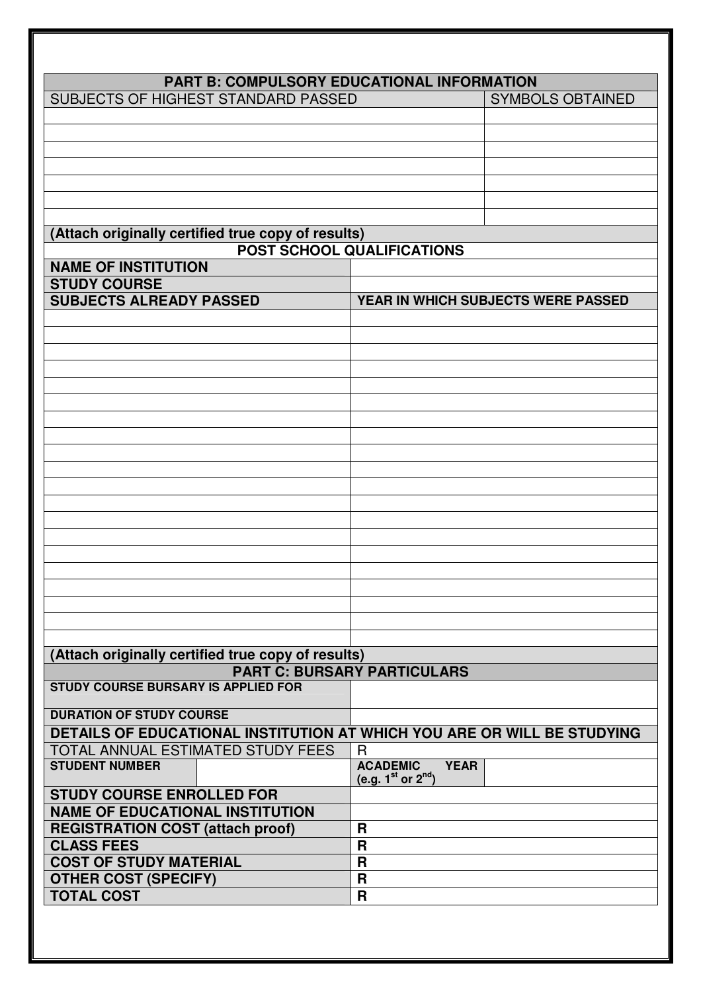|                                                    | <b>PART B: COMPULSORY EDUCATIONAL INFORMATION</b>                       |
|----------------------------------------------------|-------------------------------------------------------------------------|
| SUBJECTS OF HIGHEST STANDARD PASSED                | <b>SYMBOLS OBTAINED</b>                                                 |
|                                                    |                                                                         |
|                                                    |                                                                         |
|                                                    |                                                                         |
|                                                    |                                                                         |
|                                                    |                                                                         |
|                                                    |                                                                         |
|                                                    |                                                                         |
| (Attach originally certified true copy of results) |                                                                         |
|                                                    | <b>POST SCHOOL QUALIFICATIONS</b>                                       |
| <b>NAME OF INSTITUTION</b>                         |                                                                         |
| <b>STUDY COURSE</b>                                |                                                                         |
| <b>SUBJECTS ALREADY PASSED</b>                     | <b>YEAR IN WHICH SUBJECTS WERE PASSED</b>                               |
|                                                    |                                                                         |
|                                                    |                                                                         |
|                                                    |                                                                         |
|                                                    |                                                                         |
|                                                    |                                                                         |
|                                                    |                                                                         |
|                                                    |                                                                         |
|                                                    |                                                                         |
|                                                    |                                                                         |
|                                                    |                                                                         |
|                                                    |                                                                         |
|                                                    |                                                                         |
|                                                    |                                                                         |
|                                                    |                                                                         |
|                                                    |                                                                         |
|                                                    |                                                                         |
|                                                    |                                                                         |
|                                                    |                                                                         |
|                                                    |                                                                         |
|                                                    |                                                                         |
| (Attach originally certified true copy of results) |                                                                         |
|                                                    | <b>PART C: BURSARY PARTICULARS</b>                                      |
| <b>STUDY COURSE BURSARY IS APPLIED FOR</b>         |                                                                         |
|                                                    |                                                                         |
| <b>DURATION OF STUDY COURSE</b>                    |                                                                         |
|                                                    | DETAILS OF EDUCATIONAL INSTITUTION AT WHICH YOU ARE OR WILL BE STUDYING |
| TOTAL ANNUAL ESTIMATED STUDY FEES                  | R                                                                       |
| <b>STUDENT NUMBER</b>                              | <b>ACADEMIC</b><br><b>YEAR</b>                                          |
|                                                    | (e.g. $1^{st}$ or $2^{nd}$ )                                            |
| <b>STUDY COURSE ENROLLED FOR</b>                   |                                                                         |
| <b>NAME OF EDUCATIONAL INSTITUTION</b>             |                                                                         |
| <b>REGISTRATION COST (attach proof)</b>            | R                                                                       |
| <b>CLASS FEES</b>                                  | $\mathbf R$                                                             |
| <b>COST OF STUDY MATERIAL</b>                      | R                                                                       |
| <b>OTHER COST (SPECIFY)</b>                        | $\mathbf R$                                                             |
| <b>TOTAL COST</b>                                  | $\mathbf R$                                                             |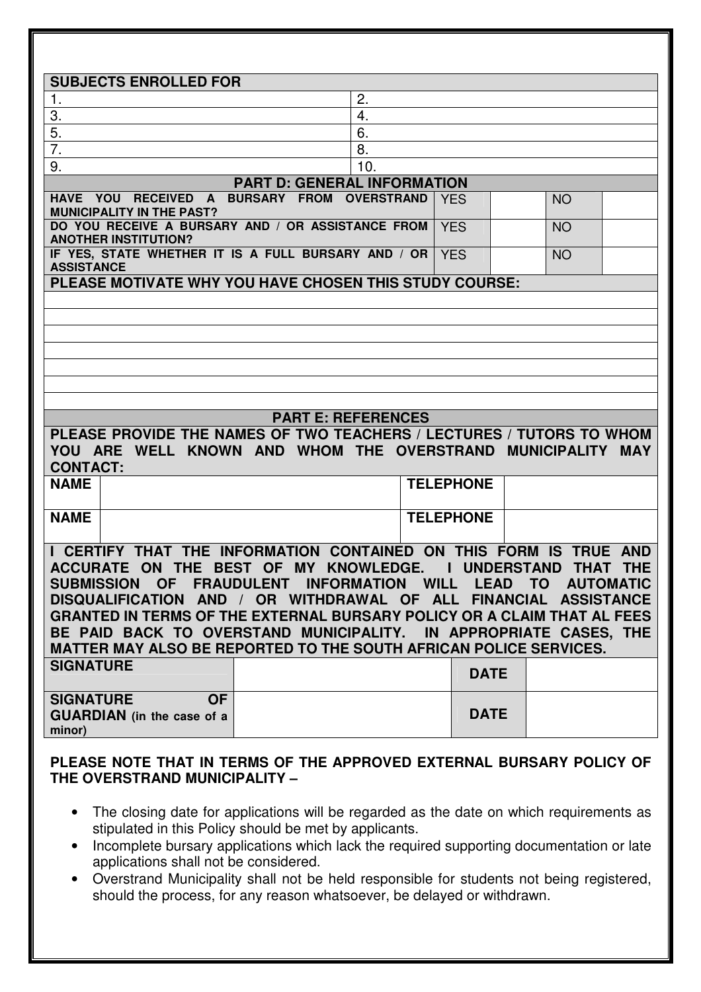|                                    | <b>SUBJECTS ENROLLED FOR</b>                          |                                                                                                                                        |  |                  |                   |                          |                  |  |
|------------------------------------|-------------------------------------------------------|----------------------------------------------------------------------------------------------------------------------------------------|--|------------------|-------------------|--------------------------|------------------|--|
| 1.                                 |                                                       | 2.                                                                                                                                     |  |                  |                   |                          |                  |  |
| 3.                                 |                                                       | 4.                                                                                                                                     |  |                  |                   |                          |                  |  |
| 5.                                 |                                                       | 6.                                                                                                                                     |  |                  |                   |                          |                  |  |
| 7.                                 |                                                       | 8.                                                                                                                                     |  |                  |                   |                          |                  |  |
| 9.                                 |                                                       | 10.                                                                                                                                    |  |                  |                   |                          |                  |  |
| <b>PART D: GENERAL INFORMATION</b> |                                                       |                                                                                                                                        |  |                  |                   |                          |                  |  |
| <b>HAVE</b>                        | YOU<br>RECEIVED A<br><b>MUNICIPALITY IN THE PAST?</b> | <b>BURSARY</b><br><b>OVERSTRAND</b><br><b>FROM</b>                                                                                     |  | <b>YES</b>       |                   | <b>NO</b>                |                  |  |
|                                    | <b>ANOTHER INSTITUTION?</b>                           | DO YOU RECEIVE A BURSARY AND / OR ASSISTANCE FROM                                                                                      |  | <b>YES</b>       |                   | <b>NO</b>                |                  |  |
| <b>ASSISTANCE</b>                  |                                                       | IF YES, STATE WHETHER IT IS A FULL BURSARY AND / OR                                                                                    |  | <b>YES</b>       |                   | <b>NO</b>                |                  |  |
|                                    |                                                       | PLEASE MOTIVATE WHY YOU HAVE CHOSEN THIS STUDY COURSE:                                                                                 |  |                  |                   |                          |                  |  |
|                                    |                                                       |                                                                                                                                        |  |                  |                   |                          |                  |  |
|                                    |                                                       |                                                                                                                                        |  |                  |                   |                          |                  |  |
|                                    |                                                       |                                                                                                                                        |  |                  |                   |                          |                  |  |
|                                    |                                                       |                                                                                                                                        |  |                  |                   |                          |                  |  |
|                                    |                                                       |                                                                                                                                        |  |                  |                   |                          |                  |  |
|                                    |                                                       |                                                                                                                                        |  |                  |                   |                          |                  |  |
|                                    |                                                       |                                                                                                                                        |  |                  |                   |                          |                  |  |
|                                    |                                                       |                                                                                                                                        |  |                  |                   |                          |                  |  |
|                                    |                                                       | <b>PART E: REFERENCES</b><br>PLEASE PROVIDE THE NAMES OF TWO TEACHERS / LECTURES / TUTORS TO WHOM                                      |  |                  |                   |                          |                  |  |
|                                    | YOU ARE WELL                                          | KNOWN AND WHOM THE OVERSTRAND MUNICIPALITY                                                                                             |  |                  |                   |                          | <b>MAY</b>       |  |
| <b>CONTACT:</b>                    |                                                       |                                                                                                                                        |  |                  |                   |                          |                  |  |
| <b>NAME</b>                        |                                                       |                                                                                                                                        |  | <b>TELEPHONE</b> |                   |                          |                  |  |
|                                    |                                                       |                                                                                                                                        |  |                  |                   |                          |                  |  |
| <b>NAME</b>                        |                                                       |                                                                                                                                        |  | <b>TELEPHONE</b> |                   |                          |                  |  |
|                                    |                                                       |                                                                                                                                        |  |                  |                   |                          |                  |  |
|                                    |                                                       | I CERTIFY THAT THE INFORMATION CONTAINED ON THIS FORM                                                                                  |  | ш                |                   | <b>IS</b><br><b>TRUE</b> | AND              |  |
| <b>ACCURATE</b>                    | ON THE                                                | <b>KNOWLEDGE.</b><br><b>BEST OF MY</b>                                                                                                 |  |                  | <b>UNDERSTAND</b> | <b>THAT</b>              | <b>THE</b>       |  |
|                                    |                                                       | SUBMISSION OF FRAUDULENT INFORMATION WILL                                                                                              |  |                  | <b>LEAD TO</b>    |                          | <b>AUTOMATIC</b> |  |
|                                    |                                                       | DISQUALIFICATION AND / OR WITHDRAWAL OF ALL FINANCIAL ASSISTANCE                                                                       |  |                  |                   |                          |                  |  |
|                                    |                                                       | <b>GRANTED IN TERMS OF THE EXTERNAL BURSARY POLICY OR A CLAIM THAT AL FEES</b>                                                         |  |                  |                   |                          |                  |  |
|                                    |                                                       | BE PAID BACK TO OVERSTAND MUNICIPALITY. IN APPROPRIATE CASES, THE<br>MATTER MAY ALSO BE REPORTED TO THE SOUTH AFRICAN POLICE SERVICES. |  |                  |                   |                          |                  |  |
| <b>SIGNATURE</b>                   |                                                       |                                                                                                                                        |  | <b>DATE</b>      |                   |                          |                  |  |
|                                    |                                                       |                                                                                                                                        |  |                  |                   |                          |                  |  |
| <b>SIGNATURE</b>                   | <b>OF</b><br><b>GUARDIAN</b> (in the case of a        |                                                                                                                                        |  | <b>DATE</b>      |                   |                          |                  |  |

## **PLEASE NOTE THAT IN TERMS OF THE APPROVED EXTERNAL BURSARY POLICY OF THE OVERSTRAND MUNICIPALITY –**

- The closing date for applications will be regarded as the date on which requirements as stipulated in this Policy should be met by applicants.
- Incomplete bursary applications which lack the required supporting documentation or late applications shall not be considered.
- Overstrand Municipality shall not be held responsible for students not being registered, should the process, for any reason whatsoever, be delayed or withdrawn.